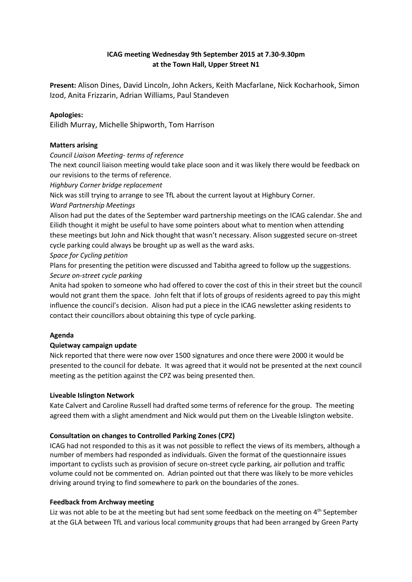# **ICAG meeting Wednesday 9th September 2015 at 7.30-9.30pm at the Town Hall, Upper Street N1**

**Present:** Alison Dines, David Lincoln, John Ackers, Keith Macfarlane, Nick Kocharhook, Simon Izod, Anita Frizzarin, Adrian Williams, Paul Standeven

# **Apologies:**

Eilidh Murray, Michelle Shipworth, Tom Harrison

#### **Matters arising**

*Council Liaison Meeting- terms of reference*

The next council liaison meeting would take place soon and it was likely there would be feedback on our revisions to the terms of reference.

*Highbury Corner bridge replacement*

Nick was still trying to arrange to see TfL about the current layout at Highbury Corner.

*Ward Partnership Meetings*

Alison had put the dates of the September ward partnership meetings on the ICAG calendar. She and Eilidh thought it might be useful to have some pointers about what to mention when attending these meetings but John and Nick thought that wasn't necessary. Alison suggested secure on-street cycle parking could always be brought up as well as the ward asks.

### *Space for Cycling petition*

Plans for presenting the petition were discussed and Tabitha agreed to follow up the suggestions. *Secure on-street cycle parking*

Anita had spoken to someone who had offered to cover the cost of this in their street but the council would not grant them the space. John felt that if lots of groups of residents agreed to pay this might influence the council's decision. Alison had put a piece in the ICAG newsletter asking residents to contact their councillors about obtaining this type of cycle parking.

# **Agenda**

# **Quietway campaign update**

Nick reported that there were now over 1500 signatures and once there were 2000 it would be presented to the council for debate. It was agreed that it would not be presented at the next council meeting as the petition against the CPZ was being presented then.

#### **Liveable Islington Network**

Kate Calvert and Caroline Russell had drafted some terms of reference for the group. The meeting agreed them with a slight amendment and Nick would put them on the Liveable Islington website.

# **Consultation on changes to Controlled Parking Zones (CPZ)**

ICAG had not responded to this as it was not possible to reflect the views of its members, although a number of members had responded as individuals. Given the format of the questionnaire issues important to cyclists such as provision of secure on-street cycle parking, air pollution and traffic volume could not be commented on. Adrian pointed out that there was likely to be more vehicles driving around trying to find somewhere to park on the boundaries of the zones.

# **Feedback from Archway meeting**

Liz was not able to be at the meeting but had sent some feedback on the meeting on  $4<sup>th</sup>$  September at the GLA between TfL and various local community groups that had been arranged by Green Party